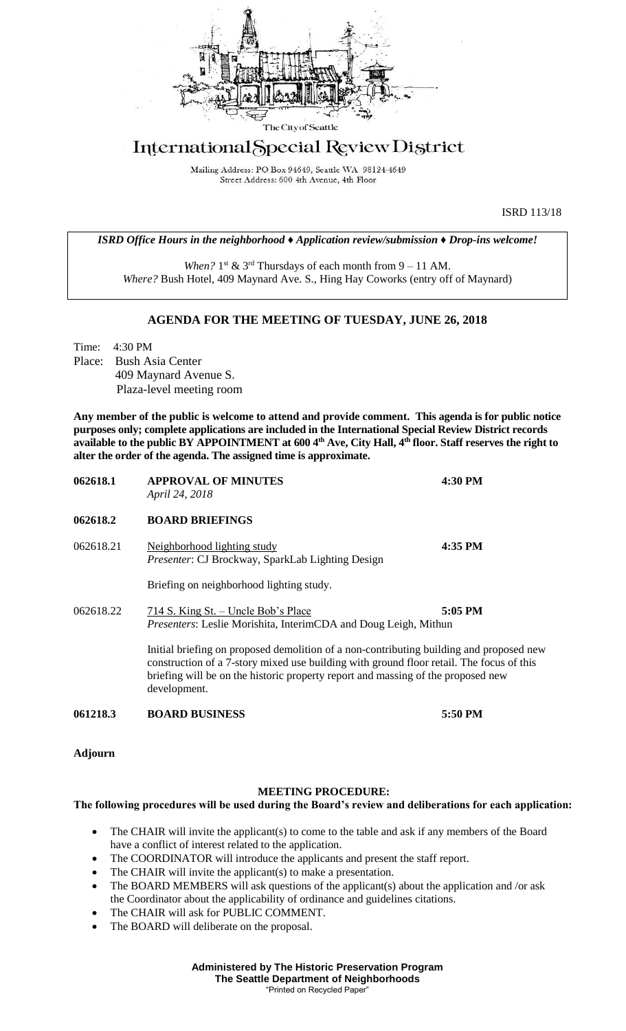

## International Special Review District

Mailing Address: PO Box 94649, Seattle WA 98124-4649 Street Address: 600 4th Avenue, 4th Floor

ISRD 113/18

*ISRD Office Hours in the neighborhood ♦ Application review/submission ♦ Drop-ins welcome!*

When?  $1<sup>st</sup>$  &  $3<sup>rd</sup>$  Thursdays of each month from  $9 - 11$  AM. *Where?* Bush Hotel, 409 Maynard Ave. S., Hing Hay Coworks (entry off of Maynard)

## **AGENDA FOR THE MEETING OF TUESDAY, JUNE 26, 2018**

Time: 4:30 PM Place: Bush Asia Center 409 Maynard Avenue S. Plaza-level meeting room

**Any member of the public is welcome to attend and provide comment. This agenda is for public notice purposes only; complete applications are included in the International Special Review District records available to the public BY APPOINTMENT at 600 4th Ave, City Hall, 4th floor. Staff reserves the right to alter the order of the agenda. The assigned time is approximate.** 

| 062618.1  | <b>APPROVAL OF MINUTES</b><br>April 24, 2018                                                                                                                                                                                                                                            | 4:30 PM |
|-----------|-----------------------------------------------------------------------------------------------------------------------------------------------------------------------------------------------------------------------------------------------------------------------------------------|---------|
| 062618.2  | <b>BOARD BRIEFINGS</b>                                                                                                                                                                                                                                                                  |         |
| 062618.21 | Neighborhood lighting study<br><i>Presenter:</i> CJ Brockway, SparkLab Lighting Design                                                                                                                                                                                                  | 4:35 PM |
|           | Briefing on neighborhood lighting study.                                                                                                                                                                                                                                                |         |
| 062618.22 | 714 S. King St. – Uncle Bob's Place<br><i>Presenters:</i> Leslie Morishita, InterimCDA and Doug Leigh, Mithun                                                                                                                                                                           | 5:05 PM |
|           | Initial briefing on proposed demolition of a non-contributing building and proposed new<br>construction of a 7-story mixed use building with ground floor retail. The focus of this<br>briefing will be on the historic property report and massing of the proposed new<br>development. |         |

**061218.3 BOARD BUSINESS 5:50 PM**

**Adjourn**

## **MEETING PROCEDURE:**

## **The following procedures will be used during the Board's review and deliberations for each application:**

- The CHAIR will invite the applicant(s) to come to the table and ask if any members of the Board have a conflict of interest related to the application.
- The COORDINATOR will introduce the applicants and present the staff report.
- The CHAIR will invite the applicant(s) to make a presentation.
- The BOARD MEMBERS will ask questions of the applicant(s) about the application and /or ask the Coordinator about the applicability of ordinance and guidelines citations.
- The CHAIR will ask for PUBLIC COMMENT.
- The BOARD will deliberate on the proposal.